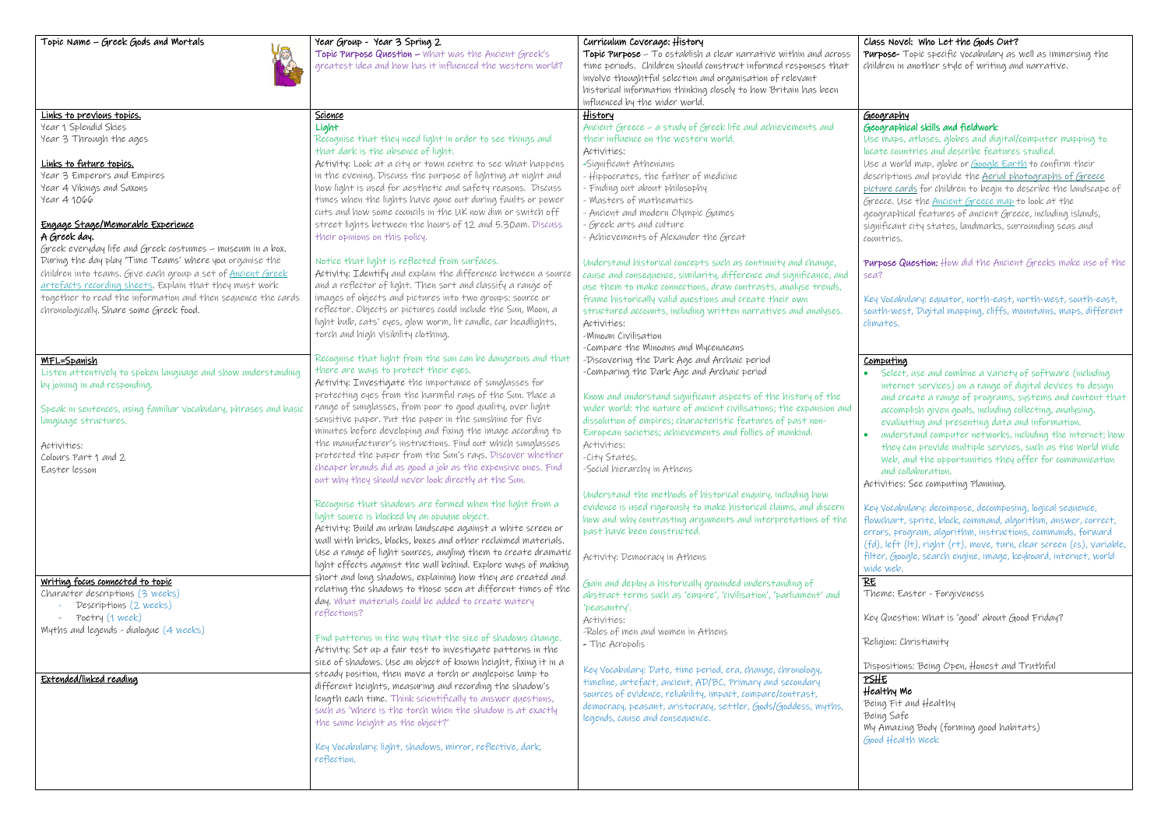Topic Name – Greek Gods and Mortals Year Group - Year 3 Spring 2<br>Topic Purpose Question – What Topic Purpose Question – What was the Ancient Greek's greatest idea and how has it influenced the western world? Curriculum Coverage: History Topic Purpose – To establish a clear narrative within and across

Purpose- Topic specific vocabulary as well as immersing the in another style of writing and narrative.

## **Phy**

# aphical skills and fieldwork

aps, atlases, globes and digital/computer mapping to countries and describe features studied. world map, globe or <u>[Google Earth](https://www.google.co.uk/intl/en_uk/earth/)</u> to confirm their tions and provide the Aerial photographs of Greece cards for children to begin to describe the landscape of Use the [Ancient Greece map](https://maestro.cornerstoneseducation.co.uk/school/833/download/2020-greeks_eng_map_ancient_greece?token=eyJ0eXAiOiJKV1QiLCJhbGciOiJIUzI1NiJ9.eyJpc3MiOiJodHRwczpcL1wvbWFlc3Ryby5jb3JuZXJzdG9uZXNlZHVjYXRpb24uY28udWtcL2FwaVwvYXV0aFwvbG9naW4iLCJpYXQiOjE2MjY2ODMxMjIsImV4cCI6MTY0MjIzNTEyMiwibmJmIjoxNjI2NjgzMTIyLCJqdGkiOiJyeGRUNjlqOElObXlUVkFpIiwic3ViIjo3MjA3LCJwcnYiOiI4N2UwYWYxZWY5ZmQxNTgxMmZkZWM5NzE1M2ExNGUwYjA0NzU0NmFhIiwia2V5IjoiZ3ZBU1ozVVNQcmdFZHd6S2JnWFlTdGNDZ1YxQWFGd0UwZ29NUm1teDJ6Z3lKeHhHS28ifQ.KAiNmlOGV0GstNIdIKC21H3rajId-MnecTCrU3rpOHI) to look at the phical features of ancient Greece, including islands, ant city states, landmarks, surrounding seas and ies.

 $\epsilon$  Question: How did the Ancient Greeks make use of the

cabulary: equator, north-east, north-west, south-east, west, Digital mapping, cliffs, mountains, maps, different  $25.$ 

## ting

lect, use and combine a variety of software (including ternet services) on a range of digital devices to design d create a range of programs, systems and content that complish given goals, including collecting, analysing, aluating and presenting data and information.

derstand computer networks, including the internet; how  $t$ ey can provide multiple services, such as the World Wide eb, and the opportunities they offer for communication d collaboration.

ies: See computing Planning.

cabulary: decompose, decomposing, logical sequence, art, sprite, block, command, algorithm, answer, correct, program, algorithm, instructions, commands, forward ft (It), right (rt), move, turn, clear screen (cs), variable, filter, Google, search engine, image, keyboard, internet, world w.

Easter - Forgiveness

restion: What is 'good' about Good Friday?

n: Christianity

tions: Being Open, Honest and Truthful

ly Me  $\bar{\ }$ it and Healthy safe azing Body (forming good habitats) ealth week

## Class Novel: Who Let the Gods Out?

| <b>Brazil</b>                                                    | greatest idea and how has it influenced the western world?     | time periods. Children should construct informed responses that<br>involve thoughtful selection and organisation of relevant<br>historical information thinking closely to how Britain has been<br>influenced by the wider world. | children               |
|------------------------------------------------------------------|----------------------------------------------------------------|-----------------------------------------------------------------------------------------------------------------------------------------------------------------------------------------------------------------------------------|------------------------|
| Links to previous topics.                                        | <u>Science</u>                                                 | <u>History</u>                                                                                                                                                                                                                    | <u>Geogra</u>          |
| Year 1 Splendid Skies                                            | Light                                                          | Ancient Greece - a study of Greek life and achievements and                                                                                                                                                                       | Geogra                 |
| Year 3 Through the ages                                          | Recognise that they need light in order to see things and      | their influence on the western world.                                                                                                                                                                                             | Use ma                 |
|                                                                  | that dark is the absence of light.                             | Activities:                                                                                                                                                                                                                       | locate c               |
| Links to future topics.                                          | Activity: Look at a city or town centre to see what happens    | -Significant Athenians                                                                                                                                                                                                            | Use a v                |
| Year 3 Emperors and Empires                                      | in the evening. Discuss the purpose of lighting at night and   | - Hippocrates, the father of medicine                                                                                                                                                                                             |                        |
|                                                                  |                                                                |                                                                                                                                                                                                                                   | descrip-               |
| Year 4 Vikings and Saxons                                        | how light is used for aesthetic and safety reasons. Discuss    | - Finding out about philosophy                                                                                                                                                                                                    | picture                |
| Year 41066                                                       | times when the lights have gone out during faults or power     | - Masters of mathematics                                                                                                                                                                                                          | Greece.                |
|                                                                  | cuts and how some councils in the UK now dim or switch off     | - Ancient and modern Olympic Games                                                                                                                                                                                                | geogra                 |
| Engage Stage/Memorable Experience                                | street lights between the hours of 12 and 5.30am. Discuss      | - Greek arts and culture                                                                                                                                                                                                          | signific               |
| A Greek day.                                                     | their opinions on this policy.                                 | - Achievements of Alexander the Great                                                                                                                                                                                             | countrie               |
| Greek everyday life and Greek costumes - museum in a box.        |                                                                |                                                                                                                                                                                                                                   |                        |
| During the day play 'Time Teams' where you organise the          | Notice that light is reflected from surfaces.                  | Understand historical concepts such as continuity and change,                                                                                                                                                                     | Purpose                |
| children into teams. Give each group a set of Ancient Greek      | Activity: Identify and explain the difference between a source | cause and consequence, similarity, difference and significance, and                                                                                                                                                               | sea?                   |
| artefacts recording sheets. Explain that they must work          | and a reflector of light. Then sort and classify a range of    | use them to make connections, draw contrasts, analyse trends,                                                                                                                                                                     |                        |
| together to read the information and then sequence the cards     | images of objects and pictures into two groups: source or      | frame historically valid questions and create their own                                                                                                                                                                           | Key Voc                |
| chronologically. Share some Greek food.                          | reflector. Objects or pictures could include the Sun, Moon, a  | structured accounts, including written narratives and analyses.                                                                                                                                                                   | $s$ outh- $\nu$        |
|                                                                  | light bulb, cats' eyes, glow worm, lit candle, car headlights, | Activities:                                                                                                                                                                                                                       | climate                |
|                                                                  | torch and high visibility clothing.                            | -Minoan Civilisation                                                                                                                                                                                                              |                        |
|                                                                  |                                                                | -Compare the Minoans and Mycenaeans                                                                                                                                                                                               |                        |
| <u>MFL=Spanish</u>                                               | Recognise that light from the sun can be dangerous and that    | -Discovering the Dark Age and Archaic period                                                                                                                                                                                      | Comput                 |
| Listen attentively to spoken language and show understanding     | there are ways to protect their eyes.                          | -Comparing the Dark Age and Archaic period                                                                                                                                                                                        | $\bullet$ Sel          |
| by joining in and responding.                                    | Activity: Investigate the importance of sunglasses for         |                                                                                                                                                                                                                                   | int                    |
|                                                                  | protecting eyes from the harmful rays of the Sun. Place a      | Know and understand significant aspects of the history of the                                                                                                                                                                     | ano                    |
| Speak in sentences, using familiar vocabulary, phrases and basic | range of sunglasses, from poor to good quality, over light     | wider world: the nature of ancient civilisations; the expansion and                                                                                                                                                               | acc                    |
| language structures.                                             | sensitive paper. Put the paper in the sunshine for five        | dissolution of empires; characteristic features of past non-                                                                                                                                                                      |                        |
|                                                                  | minutes before developing and fixing the image according to    | European societies; achievements and follies of mankind.                                                                                                                                                                          | $e$ $V$                |
| Activities:                                                      | the manufacturer's instructions. Find out which sunglasses     | Activities:                                                                                                                                                                                                                       | $\bullet$<br>ипс       |
| Colours Part 1 and 2                                             | protected the paper from the Sun's rays. Discover whether      | -City States.                                                                                                                                                                                                                     | $+h$                   |
|                                                                  | cheaper brands did as good a job as the expensive ones. Find   |                                                                                                                                                                                                                                   | We                     |
| Easter lesson                                                    | out why they should never look directly at the Sun.            | -Social hierarchy in Athens                                                                                                                                                                                                       | $\alpha$ nc            |
|                                                                  |                                                                |                                                                                                                                                                                                                                   | Activiti               |
|                                                                  | Recognise that shadows are formed when the light from a        | Understand the methods of historical enquiry, including how                                                                                                                                                                       |                        |
|                                                                  |                                                                | evidence is used rigorously to make historical claims, and discern                                                                                                                                                                | Key Voc                |
|                                                                  | light source is blocked by an opaque object.                   | how and why contrasting arguments and interpretations of the                                                                                                                                                                      | flowcho                |
|                                                                  | Activity: Build an urban landscape against a white screen or   | past have been constructed.                                                                                                                                                                                                       | errors,                |
|                                                                  | wall with bricks, blocks, boxes and other reclaimed materials. |                                                                                                                                                                                                                                   | $(fd)$ , le-           |
|                                                                  | Use a range of light sources, angling them to create dramatic  | Activity: Democracy in Athens                                                                                                                                                                                                     | filter, (              |
|                                                                  | light effects against the wall behind. Explore ways of making  |                                                                                                                                                                                                                                   | wide we                |
| Writing focus connected to topic                                 | short and long shadows, explaining how they are created and    | Gain and deploy a historically grounded understanding of                                                                                                                                                                          | $\overline{\text{RE}}$ |
| Character descriptions (3 weeks)                                 | relating the shadows to those seen at different times of the   | abstract terms such as 'empire', 'civilisation', 'parliament' and                                                                                                                                                                 | Theme:                 |
| Descriptions (2 weeks)                                           | day. What materials could be added to create watery            | 'peasantry'.                                                                                                                                                                                                                      |                        |
| Poetry (1 week)                                                  | reflections?                                                   | Activities:                                                                                                                                                                                                                       | Key Qu                 |
| Myths and legends - dialogue (4 weeks)                           |                                                                | -Roles of men and women in Athens                                                                                                                                                                                                 |                        |
|                                                                  | Find patterns in the way that the size of shadows change.      | - The Acropolis                                                                                                                                                                                                                   | Religion               |
|                                                                  | Activity: Set up a fair test to investigate patterns in the    |                                                                                                                                                                                                                                   |                        |
|                                                                  | size of shadows. Use an object of known height, fixing it in a |                                                                                                                                                                                                                                   | <b>Disposi</b>         |
|                                                                  | steady position, then move a torch or anglepoise lamp to       | Key Vocabulary: Date, time period, era, change, chronology,                                                                                                                                                                       | PSHE                   |
| Extended/linked reading                                          | different heights, measuring and recording the shadow's        | timeline, artefact, ancient, AD/BC, Primary and secondary                                                                                                                                                                         | Health                 |
|                                                                  | length each time. Think scientifically to answer questions,    | sources of evidence, reliability, impact, compare/contrast,                                                                                                                                                                       |                        |
|                                                                  | such as 'where is the torch when the shadow is at exactly      | democracy, peasant, aristocracy, settler, Gods/Goddess, myths,                                                                                                                                                                    | Being F                |
|                                                                  | the same height as the object?'                                | legends, cause and consequence.                                                                                                                                                                                                   | Being S                |
|                                                                  |                                                                |                                                                                                                                                                                                                                   | My Am                  |
|                                                                  | Key Vocabulary: light, shadows, mirror, reflective, dark,      |                                                                                                                                                                                                                                   | Good H                 |
|                                                                  | reflection.                                                    |                                                                                                                                                                                                                                   |                        |
|                                                                  |                                                                |                                                                                                                                                                                                                                   |                        |
|                                                                  |                                                                |                                                                                                                                                                                                                                   |                        |
|                                                                  |                                                                |                                                                                                                                                                                                                                   |                        |